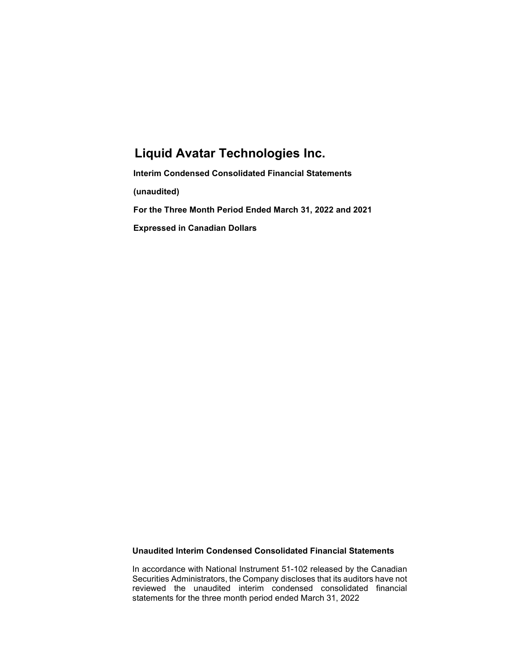# Liquid Avatar Technologies Inc.

Interim Condensed Consolidated Financial Statements (unaudited) For the Three Month Period Ended March 31, 2022 and 2021 Expressed in Canadian Dollars

## Unaudited Interim Condensed Consolidated Financial Statements

In accordance with National Instrument 51-102 released by the Canadian Securities Administrators, the Company discloses that its auditors have not reviewed the unaudited interim condensed consolidated financial statements for the three month period ended March 31, 2022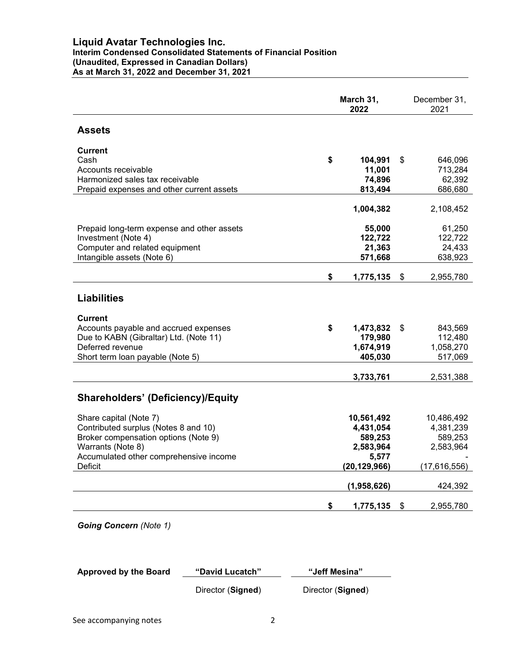## Liquid Avatar Technologies Inc.

#### Interim Condensed Consolidated Statements of Financial Position (Unaudited, Expressed in Canadian Dollars) As at March 31, 2022 and December 31, 2021

|                                            | March 31,<br>2022 |                |    | December 31,<br>2021 |
|--------------------------------------------|-------------------|----------------|----|----------------------|
| <b>Assets</b>                              |                   |                |    |                      |
| <b>Current</b>                             |                   |                |    |                      |
| Cash                                       | \$                | 104,991        | \$ | 646,096              |
| Accounts receivable                        |                   | 11,001         |    | 713,284              |
| Harmonized sales tax receivable            |                   | 74,896         |    | 62,392               |
| Prepaid expenses and other current assets  |                   | 813,494        |    | 686,680              |
|                                            |                   | 1,004,382      |    | 2,108,452            |
| Prepaid long-term expense and other assets |                   | 55,000         |    | 61,250               |
| Investment (Note 4)                        |                   | 122,722        |    | 122,722              |
| Computer and related equipment             |                   | 21,363         |    | 24,433               |
| Intangible assets (Note 6)                 |                   | 571,668        |    | 638,923              |
|                                            | \$                | 1,775,135      | \$ | 2,955,780            |
| <b>Liabilities</b>                         |                   |                |    |                      |
| <b>Current</b>                             |                   |                |    |                      |
| Accounts payable and accrued expenses      | \$                | 1,473,832      | \$ | 843,569              |
| Due to KABN (Gibraltar) Ltd. (Note 11)     |                   | 179,980        |    | 112,480              |
| Deferred revenue                           |                   | 1,674,919      |    | 1,058,270            |
| Short term loan payable (Note 5)           |                   | 405,030        |    | 517,069              |
|                                            |                   | 3,733,761      |    | 2,531,388            |
|                                            |                   |                |    |                      |
| <b>Shareholders' (Deficiency)/Equity</b>   |                   |                |    |                      |
| Share capital (Note 7)                     |                   | 10,561,492     |    | 10,486,492           |
| Contributed surplus (Notes 8 and 10)       |                   | 4,431,054      |    | 4,381,239            |
| Broker compensation options (Note 9)       |                   | 589,253        |    | 589,253              |
| Warrants (Note 8)                          |                   | 2,583,964      |    | 2,583,964            |
| Accumulated other comprehensive income     |                   | 5,577          |    |                      |
| Deficit                                    |                   | (20, 129, 966) |    | (17,616,556)         |
|                                            |                   | (1,958,626)    |    | 424,392              |
|                                            | \$                | 1,775,135      | \$ | 2,955,780            |
|                                            |                   |                |    |                      |

Going Concern (Note 1)

| <b>Approved by the Board</b> | "David Lucatch" | "Jeff Mesina" |
|------------------------------|-----------------|---------------|
|                              |                 |               |

Director (Signed) Director (Signed)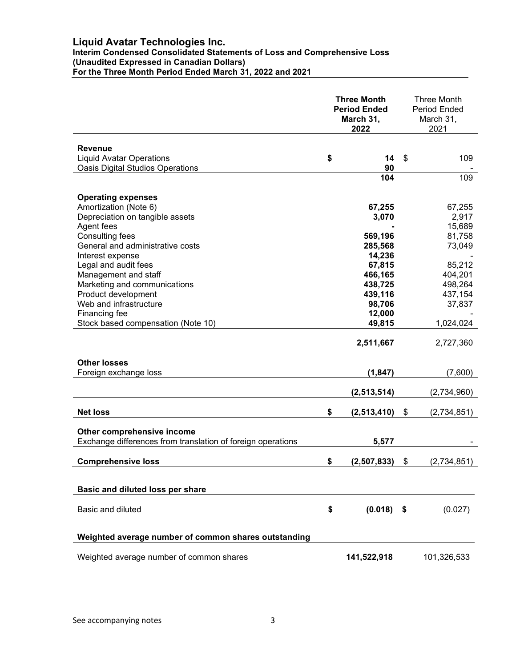## Liquid Avatar Technologies Inc.

Interim Condensed Consolidated Statements of Loss and Comprehensive Loss

#### (Unaudited Expressed in Canadian Dollars)

For the Three Month Period Ended March 31, 2022 and 2021

|                                                             | <b>Three Month</b><br><b>Period Ended</b><br>March 31,<br>2022 |              | Three Month<br><b>Period Ended</b><br>March 31,<br>2021 |
|-------------------------------------------------------------|----------------------------------------------------------------|--------------|---------------------------------------------------------|
|                                                             |                                                                |              |                                                         |
| Revenue<br><b>Liquid Avatar Operations</b>                  | \$                                                             | 14           | \$<br>109                                               |
| <b>Oasis Digital Studios Operations</b>                     |                                                                | 90           |                                                         |
|                                                             |                                                                | 104          | 109                                                     |
| <b>Operating expenses</b>                                   |                                                                |              |                                                         |
| Amortization (Note 6)                                       |                                                                | 67,255       | 67,255                                                  |
| Depreciation on tangible assets                             |                                                                | 3,070        | 2,917                                                   |
| Agent fees                                                  |                                                                |              | 15,689                                                  |
| Consulting fees                                             |                                                                | 569,196      | 81,758                                                  |
| General and administrative costs                            |                                                                | 285,568      | 73,049                                                  |
| Interest expense                                            |                                                                | 14,236       |                                                         |
| Legal and audit fees                                        |                                                                | 67,815       | 85,212                                                  |
| Management and staff                                        |                                                                | 466,165      | 404,201                                                 |
| Marketing and communications                                |                                                                | 438,725      | 498,264                                                 |
| Product development                                         |                                                                | 439,116      | 437,154                                                 |
| Web and infrastructure                                      |                                                                | 98,706       | 37,837                                                  |
| Financing fee                                               |                                                                | 12,000       |                                                         |
| Stock based compensation (Note 10)                          |                                                                | 49,815       | 1,024,024                                               |
|                                                             |                                                                | 2,511,667    | 2,727,360                                               |
| <b>Other losses</b>                                         |                                                                |              |                                                         |
| Foreign exchange loss                                       |                                                                | (1, 847)     | (7,600)                                                 |
|                                                             |                                                                |              |                                                         |
|                                                             |                                                                | (2,513,514)  | (2,734,960)                                             |
| <b>Net loss</b>                                             | \$                                                             | (2,513,410)  | \$<br>(2,734,851)                                       |
|                                                             |                                                                |              |                                                         |
| Other comprehensive income                                  |                                                                |              |                                                         |
| Exchange differences from translation of foreign operations |                                                                | 5,577        |                                                         |
| <b>Comprehensive loss</b>                                   | \$                                                             | (2,507,833)  | \$<br>(2,734,851)                                       |
|                                                             |                                                                |              |                                                         |
| Basic and diluted loss per share                            |                                                                |              |                                                         |
|                                                             |                                                                |              |                                                         |
| Basic and diluted                                           | \$                                                             | $(0.018)$ \$ | (0.027)                                                 |
| Weighted average number of common shares outstanding        |                                                                |              |                                                         |
|                                                             |                                                                |              |                                                         |
| Weighted average number of common shares                    |                                                                | 141,522,918  | 101,326,533                                             |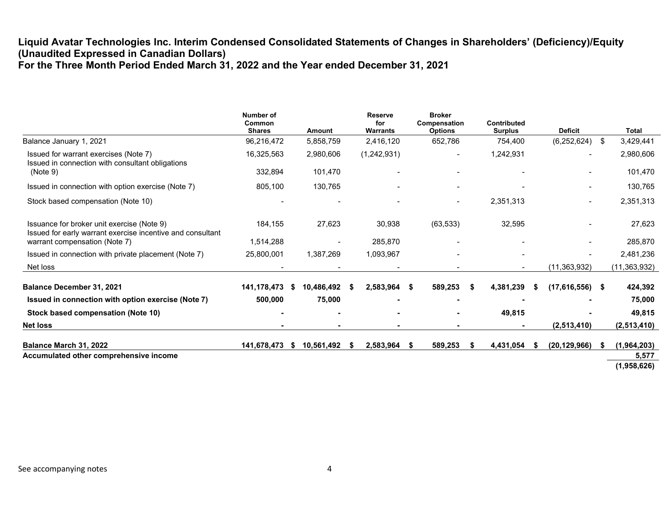## Liquid Avatar Technologies Inc. Interim Condensed Consolidated Statements of Changes in Shareholders' (Deficiency)/Equity (Unaudited Expressed in Canadian Dollars) For the Three Month Period Ended March 31, 2022 and the Year ended December 31, 2021

|                                                                                                          | Number of<br>Common<br><b>Shares</b> | Amount            | <b>Reserve</b><br>for<br><b>Warrants</b> | <b>Broker</b><br>Compensation<br><b>Options</b> |                              | Contributed<br><b>Surplus</b> | <b>Deficit</b> |      | <b>Total</b>   |
|----------------------------------------------------------------------------------------------------------|--------------------------------------|-------------------|------------------------------------------|-------------------------------------------------|------------------------------|-------------------------------|----------------|------|----------------|
| Balance January 1, 2021                                                                                  | 96,216,472                           | 5,858,759         | 2,416,120                                | 652,786                                         |                              | 754,400                       | (6, 252, 624)  | - \$ | 3,429,441      |
| Issued for warrant exercises (Note 7)<br>Issued in connection with consultant obligations                | 16,325,563                           | 2,980,606         | (1,242,931)                              |                                                 | $\blacksquare$               | 1,242,931                     |                |      | 2,980,606      |
| (Note 9)                                                                                                 | 332,894                              | 101,470           |                                          |                                                 |                              |                               |                |      | 101,470        |
| Issued in connection with option exercise (Note 7)                                                       | 805,100                              | 130,765           |                                          |                                                 | $\overline{\phantom{a}}$     |                               |                |      | 130,765        |
| Stock based compensation (Note 10)                                                                       |                                      |                   |                                          |                                                 | $\qquad \qquad \blacksquare$ | 2,351,313                     |                |      | 2,351,313      |
| Issuance for broker unit exercise (Note 9)<br>Issued for early warrant exercise incentive and consultant | 184,155                              | 27,623            | 30,938                                   | (63, 533)                                       |                              | 32,595                        |                |      | 27,623         |
| warrant compensation (Note 7)                                                                            | 1,514,288                            |                   | 285,870                                  |                                                 |                              |                               |                |      | 285,870        |
| Issued in connection with private placement (Note 7)                                                     | 25,800,001                           | 1,387,269         | 1,093,967                                |                                                 |                              |                               |                |      | 2,481,236      |
| Net loss                                                                                                 |                                      |                   |                                          |                                                 |                              |                               | (11, 363, 932) |      | (11, 363, 932) |
| <b>Balance December 31, 2021</b>                                                                         | 141,178,473                          | 10,486,492<br>- S | 2,583,964                                | 589.253<br>- \$                                 | - 56                         | 4,381,239                     | (17,616,556)   | - \$ | 424,392        |
| Issued in connection with option exercise (Note 7)                                                       | 500,000                              | 75,000            |                                          |                                                 |                              |                               |                |      | 75,000         |
| Stock based compensation (Note 10)                                                                       |                                      |                   |                                          |                                                 |                              | 49,815                        |                |      | 49,815         |
| <b>Net loss</b>                                                                                          |                                      |                   |                                          |                                                 |                              |                               | (2,513,410)    |      | (2,513,410)    |
| Balance March 31, 2022                                                                                   | 141,678,473 \$                       | 10,561,492        | 2,583,964<br>- 56                        | 589,253<br>- 56                                 | - 56                         | 4,431,054                     | (20, 129, 966) | S    | (1,964,203)    |
| Accumulated other comprehensive income                                                                   |                                      |                   |                                          |                                                 |                              |                               |                |      | 5,577          |
|                                                                                                          |                                      |                   |                                          |                                                 |                              |                               |                |      | (1,958,626)    |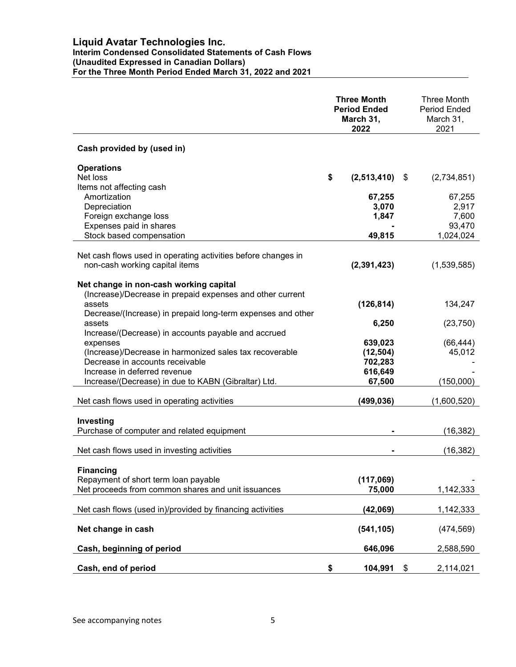## Liquid Avatar Technologies Inc. Interim Condensed Consolidated Statements of Cash Flows (Unaudited Expressed in Canadian Dollars) For the Three Month Period Ended March 31, 2022 and 2021

|                                                               | <b>Three Month</b><br><b>Period Ended</b><br>March 31,<br>2022 |               |      | <b>Three Month</b><br><b>Period Ended</b><br>March 31,<br>2021 |
|---------------------------------------------------------------|----------------------------------------------------------------|---------------|------|----------------------------------------------------------------|
| Cash provided by (used in)                                    |                                                                |               |      |                                                                |
| <b>Operations</b>                                             |                                                                |               |      |                                                                |
| Net loss                                                      | \$                                                             | (2,513,410)   | - \$ | (2,734,851)                                                    |
| Items not affecting cash                                      |                                                                |               |      |                                                                |
| Amortization                                                  |                                                                | 67,255        |      | 67,255                                                         |
| Depreciation                                                  |                                                                | 3,070         |      | 2,917                                                          |
| Foreign exchange loss                                         |                                                                | 1,847         |      | 7,600                                                          |
| Expenses paid in shares                                       |                                                                |               |      | 93,470                                                         |
| Stock based compensation                                      |                                                                | 49,815        |      | 1,024,024                                                      |
|                                                               |                                                                |               |      |                                                                |
| Net cash flows used in operating activities before changes in |                                                                |               |      |                                                                |
| non-cash working capital items                                |                                                                | (2, 391, 423) |      | (1,539,585)                                                    |
| Net change in non-cash working capital                        |                                                                |               |      |                                                                |
| (Increase)/Decrease in prepaid expenses and other current     |                                                                |               |      |                                                                |
| assets                                                        |                                                                | (126, 814)    |      | 134,247                                                        |
| Decrease/(Increase) in prepaid long-term expenses and other   |                                                                |               |      |                                                                |
| assets                                                        |                                                                | 6,250         |      | (23, 750)                                                      |
| Increase/(Decrease) in accounts payable and accrued           |                                                                |               |      |                                                                |
| expenses                                                      |                                                                | 639,023       |      | (66, 444)                                                      |
| (Increase)/Decrease in harmonized sales tax recoverable       |                                                                | (12, 504)     |      | 45,012                                                         |
| Decrease in accounts receivable                               |                                                                | 702,283       |      |                                                                |
| Increase in deferred revenue                                  |                                                                | 616,649       |      |                                                                |
| Increase/(Decrease) in due to KABN (Gibraltar) Ltd.           |                                                                | 67,500        |      | (150,000)                                                      |
|                                                               |                                                                |               |      |                                                                |
| Net cash flows used in operating activities                   |                                                                | (499, 036)    |      | (1,600,520)                                                    |
|                                                               |                                                                |               |      |                                                                |
| Investing                                                     |                                                                |               |      |                                                                |
| Purchase of computer and related equipment                    |                                                                |               |      | (16, 382)                                                      |
|                                                               |                                                                |               |      |                                                                |
| Net cash flows used in investing activities                   |                                                                |               |      | (16, 382)                                                      |
|                                                               |                                                                |               |      |                                                                |
| <b>Financing</b>                                              |                                                                |               |      |                                                                |
| Repayment of short term loan payable                          |                                                                | (117,069)     |      |                                                                |
| Net proceeds from common shares and unit issuances            |                                                                | 75,000        |      | 1,142,333                                                      |
|                                                               |                                                                |               |      |                                                                |
| Net cash flows (used in)/provided by financing activities     |                                                                | (42,069)      |      | 1,142,333                                                      |
|                                                               |                                                                |               |      |                                                                |
| Net change in cash                                            |                                                                | (541, 105)    |      | (474, 569)                                                     |
| Cash, beginning of period                                     |                                                                | 646,096       |      | 2,588,590                                                      |
|                                                               |                                                                |               |      |                                                                |
| Cash, end of period                                           | \$                                                             | 104,991       | \$   | 2,114,021                                                      |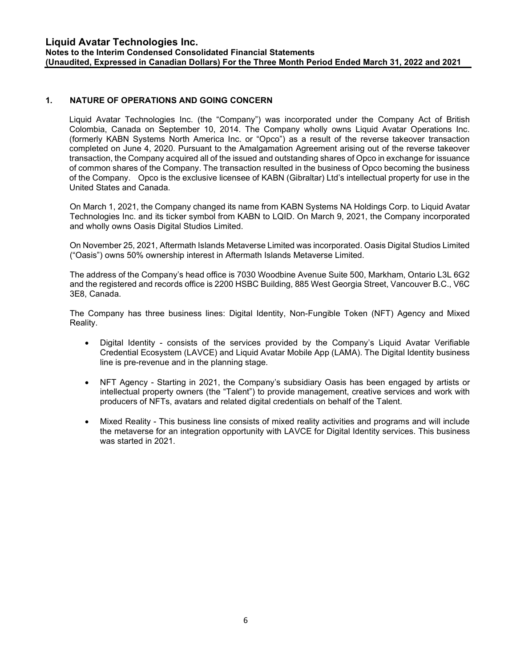## 1. NATURE OF OPERATIONS AND GOING CONCERN

Liquid Avatar Technologies Inc. (the "Company") was incorporated under the Company Act of British Colombia, Canada on September 10, 2014. The Company wholly owns Liquid Avatar Operations Inc. (formerly KABN Systems North America Inc. or "Opco") as a result of the reverse takeover transaction completed on June 4, 2020. Pursuant to the Amalgamation Agreement arising out of the reverse takeover transaction, the Company acquired all of the issued and outstanding shares of Opco in exchange for issuance of common shares of the Company. The transaction resulted in the business of Opco becoming the business of the Company. Opco is the exclusive licensee of KABN (Gibraltar) Ltd's intellectual property for use in the United States and Canada.

On March 1, 2021, the Company changed its name from KABN Systems NA Holdings Corp. to Liquid Avatar Technologies Inc. and its ticker symbol from KABN to LQID. On March 9, 2021, the Company incorporated and wholly owns Oasis Digital Studios Limited.

On November 25, 2021, Aftermath Islands Metaverse Limited was incorporated. Oasis Digital Studios Limited ("Oasis") owns 50% ownership interest in Aftermath Islands Metaverse Limited.

The address of the Company's head office is 7030 Woodbine Avenue Suite 500, Markham, Ontario L3L 6G2 and the registered and records office is 2200 HSBC Building, 885 West Georgia Street, Vancouver B.C., V6C 3E8, Canada.

The Company has three business lines: Digital Identity, Non-Fungible Token (NFT) Agency and Mixed Reality.

- Digital Identity consists of the services provided by the Company's Liquid Avatar Verifiable Credential Ecosystem (LAVCE) and Liquid Avatar Mobile App (LAMA). The Digital Identity business line is pre-revenue and in the planning stage.
- NFT Agency Starting in 2021, the Company's subsidiary Oasis has been engaged by artists or intellectual property owners (the "Talent") to provide management, creative services and work with producers of NFTs, avatars and related digital credentials on behalf of the Talent.
- Mixed Reality This business line consists of mixed reality activities and programs and will include the metaverse for an integration opportunity with LAVCE for Digital Identity services. This business was started in 2021.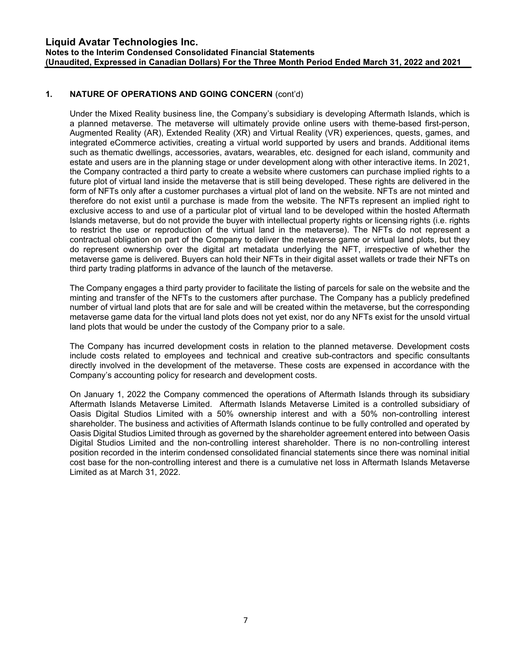## 1. NATURE OF OPERATIONS AND GOING CONCERN (cont'd)

Under the Mixed Reality business line, the Company's subsidiary is developing Aftermath Islands, which is a planned metaverse. The metaverse will ultimately provide online users with theme-based first-person, Augmented Reality (AR), Extended Reality (XR) and Virtual Reality (VR) experiences, quests, games, and integrated eCommerce activities, creating a virtual world supported by users and brands. Additional items such as thematic dwellings, accessories, avatars, wearables, etc. designed for each island, community and estate and users are in the planning stage or under development along with other interactive items. In 2021, the Company contracted a third party to create a website where customers can purchase implied rights to a future plot of virtual land inside the metaverse that is still being developed. These rights are delivered in the form of NFTs only after a customer purchases a virtual plot of land on the website. NFTs are not minted and therefore do not exist until a purchase is made from the website. The NFTs represent an implied right to exclusive access to and use of a particular plot of virtual land to be developed within the hosted Aftermath Islands metaverse, but do not provide the buyer with intellectual property rights or licensing rights (i.e. rights to restrict the use or reproduction of the virtual land in the metaverse). The NFTs do not represent a contractual obligation on part of the Company to deliver the metaverse game or virtual land plots, but they do represent ownership over the digital art metadata underlying the NFT, irrespective of whether the metaverse game is delivered. Buyers can hold their NFTs in their digital asset wallets or trade their NFTs on third party trading platforms in advance of the launch of the metaverse.

The Company engages a third party provider to facilitate the listing of parcels for sale on the website and the minting and transfer of the NFTs to the customers after purchase. The Company has a publicly predefined number of virtual land plots that are for sale and will be created within the metaverse, but the corresponding metaverse game data for the virtual land plots does not yet exist, nor do any NFTs exist for the unsold virtual land plots that would be under the custody of the Company prior to a sale.

The Company has incurred development costs in relation to the planned metaverse. Development costs include costs related to employees and technical and creative sub-contractors and specific consultants directly involved in the development of the metaverse. These costs are expensed in accordance with the Company's accounting policy for research and development costs.

On January 1, 2022 the Company commenced the operations of Aftermath Islands through its subsidiary Aftermath Islands Metaverse Limited. Aftermath Islands Metaverse Limited is a controlled subsidiary of Oasis Digital Studios Limited with a 50% ownership interest and with a 50% non-controlling interest shareholder. The business and activities of Aftermath Islands continue to be fully controlled and operated by Oasis Digital Studios Limited through as governed by the shareholder agreement entered into between Oasis Digital Studios Limited and the non-controlling interest shareholder. There is no non-controlling interest position recorded in the interim condensed consolidated financial statements since there was nominal initial cost base for the non-controlling interest and there is a cumulative net loss in Aftermath Islands Metaverse Limited as at March 31, 2022.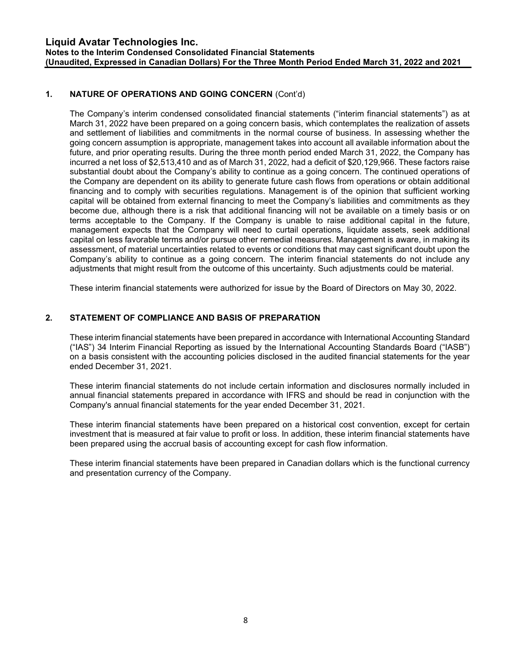## 1. NATURE OF OPERATIONS AND GOING CONCERN (Cont'd)

The Company's interim condensed consolidated financial statements ("interim financial statements") as at March 31, 2022 have been prepared on a going concern basis, which contemplates the realization of assets and settlement of liabilities and commitments in the normal course of business. In assessing whether the going concern assumption is appropriate, management takes into account all available information about the future, and prior operating results. During the three month period ended March 31, 2022, the Company has incurred a net loss of \$2,513,410 and as of March 31, 2022, had a deficit of \$20,129,966. These factors raise substantial doubt about the Company's ability to continue as a going concern. The continued operations of the Company are dependent on its ability to generate future cash flows from operations or obtain additional financing and to comply with securities regulations. Management is of the opinion that sufficient working capital will be obtained from external financing to meet the Company's liabilities and commitments as they become due, although there is a risk that additional financing will not be available on a timely basis or on terms acceptable to the Company. If the Company is unable to raise additional capital in the future, management expects that the Company will need to curtail operations, liquidate assets, seek additional capital on less favorable terms and/or pursue other remedial measures. Management is aware, in making its assessment, of material uncertainties related to events or conditions that may cast significant doubt upon the Company's ability to continue as a going concern. The interim financial statements do not include any adjustments that might result from the outcome of this uncertainty. Such adjustments could be material.

These interim financial statements were authorized for issue by the Board of Directors on May 30, 2022.

## 2. STATEMENT OF COMPLIANCE AND BASIS OF PREPARATION

These interim financial statements have been prepared in accordance with International Accounting Standard ("IAS") 34 Interim Financial Reporting as issued by the International Accounting Standards Board ("IASB") on a basis consistent with the accounting policies disclosed in the audited financial statements for the year ended December 31, 2021.

These interim financial statements do not include certain information and disclosures normally included in annual financial statements prepared in accordance with IFRS and should be read in conjunction with the Company's annual financial statements for the year ended December 31, 2021.

These interim financial statements have been prepared on a historical cost convention, except for certain investment that is measured at fair value to profit or loss. In addition, these interim financial statements have been prepared using the accrual basis of accounting except for cash flow information.

These interim financial statements have been prepared in Canadian dollars which is the functional currency and presentation currency of the Company.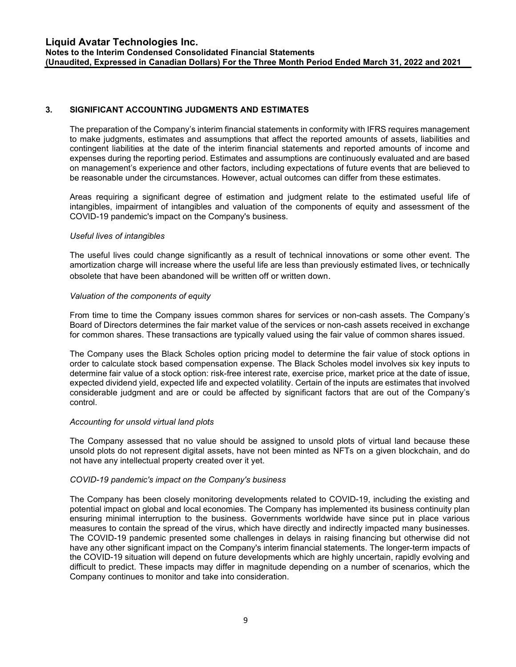## 3. SIGNIFICANT ACCOUNTING JUDGMENTS AND ESTIMATES

The preparation of the Company's interim financial statements in conformity with IFRS requires management to make judgments, estimates and assumptions that affect the reported amounts of assets, liabilities and contingent liabilities at the date of the interim financial statements and reported amounts of income and expenses during the reporting period. Estimates and assumptions are continuously evaluated and are based on management's experience and other factors, including expectations of future events that are believed to be reasonable under the circumstances. However, actual outcomes can differ from these estimates.

Areas requiring a significant degree of estimation and judgment relate to the estimated useful life of intangibles, impairment of intangibles and valuation of the components of equity and assessment of the COVID-19 pandemic's impact on the Company's business.

#### Useful lives of intangibles

The useful lives could change significantly as a result of technical innovations or some other event. The amortization charge will increase where the useful life are less than previously estimated lives, or technically obsolete that have been abandoned will be written off or written down.

#### Valuation of the components of equity

From time to time the Company issues common shares for services or non-cash assets. The Company's Board of Directors determines the fair market value of the services or non-cash assets received in exchange for common shares. These transactions are typically valued using the fair value of common shares issued.

The Company uses the Black Scholes option pricing model to determine the fair value of stock options in order to calculate stock based compensation expense. The Black Scholes model involves six key inputs to determine fair value of a stock option: risk-free interest rate, exercise price, market price at the date of issue, expected dividend yield, expected life and expected volatility. Certain of the inputs are estimates that involved considerable judgment and are or could be affected by significant factors that are out of the Company's control.

#### Accounting for unsold virtual land plots

The Company assessed that no value should be assigned to unsold plots of virtual land because these unsold plots do not represent digital assets, have not been minted as NFTs on a given blockchain, and do not have any intellectual property created over it yet.

#### COVID-19 pandemic's impact on the Company's business

The Company has been closely monitoring developments related to COVID-19, including the existing and potential impact on global and local economies. The Company has implemented its business continuity plan ensuring minimal interruption to the business. Governments worldwide have since put in place various measures to contain the spread of the virus, which have directly and indirectly impacted many businesses. The COVID-19 pandemic presented some challenges in delays in raising financing but otherwise did not have any other significant impact on the Company's interim financial statements. The longer-term impacts of the COVID-19 situation will depend on future developments which are highly uncertain, rapidly evolving and difficult to predict. These impacts may differ in magnitude depending on a number of scenarios, which the Company continues to monitor and take into consideration.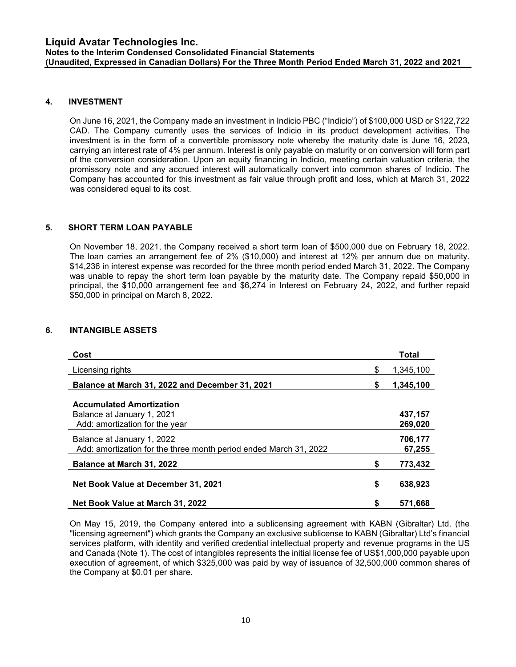## 4. INVESTMENT

On June 16, 2021, the Company made an investment in Indicio PBC ("Indicio") of \$100,000 USD or \$122,722 CAD. The Company currently uses the services of Indicio in its product development activities. The investment is in the form of a convertible promissory note whereby the maturity date is June 16, 2023, carrying an interest rate of 4% per annum. Interest is only payable on maturity or on conversion will form part of the conversion consideration. Upon an equity financing in Indicio, meeting certain valuation criteria, the promissory note and any accrued interest will automatically convert into common shares of Indicio. The Company has accounted for this investment as fair value through profit and loss, which at March 31, 2022 was considered equal to its cost.

## 5. SHORT TERM LOAN PAYABLE

On November 18, 2021, the Company received a short term loan of \$500,000 due on February 18, 2022. The loan carries an arrangement fee of 2% (\$10,000) and interest at 12% per annum due on maturity. \$14,236 in interest expense was recorded for the three month period ended March 31, 2022. The Company was unable to repay the short term loan payable by the maturity date. The Company repaid \$50,000 in principal, the \$10,000 arrangement fee and \$6,274 in Interest on February 24, 2022, and further repaid \$50,000 in principal on March 8, 2022.

## 6. INTANGIBLE ASSETS

| Cost                                                                                            |    | Total              |
|-------------------------------------------------------------------------------------------------|----|--------------------|
| Licensing rights                                                                                | \$ | 1,345,100          |
| Balance at March 31, 2022 and December 31, 2021                                                 | \$ | 1,345,100          |
| <b>Accumulated Amortization</b><br>Balance at January 1, 2021<br>Add: amortization for the year |    | 437,157<br>269,020 |
| Balance at January 1, 2022<br>Add: amortization for the three month period ended March 31, 2022 |    | 706,177<br>67,255  |
| <b>Balance at March 31, 2022</b>                                                                | S  | 773,432            |
| Net Book Value at December 31, 2021                                                             | \$ | 638,923            |
| Net Book Value at March 31, 2022                                                                | \$ | 571.668            |

On May 15, 2019, the Company entered into a sublicensing agreement with KABN (Gibraltar) Ltd. (the "licensing agreement") which grants the Company an exclusive sublicense to KABN (Gibraltar) Ltd's financial services platform, with identity and verified credential intellectual property and revenue programs in the US and Canada (Note 1). The cost of intangibles represents the initial license fee of US\$1,000,000 payable upon execution of agreement, of which \$325,000 was paid by way of issuance of 32,500,000 common shares of the Company at \$0.01 per share.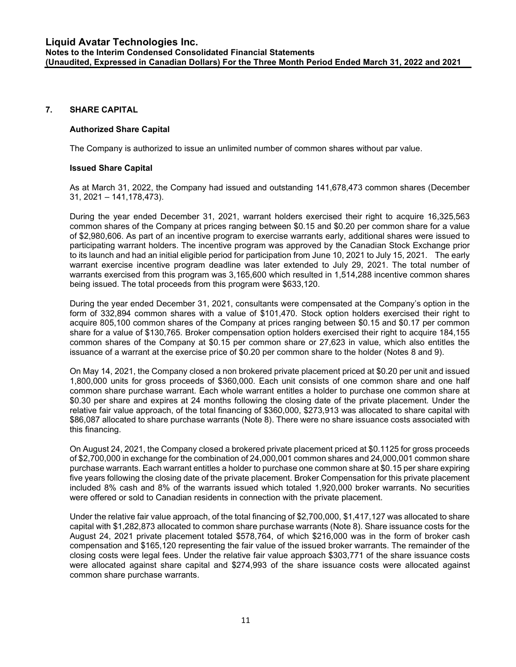#### 7. SHARE CAPITAL

## Authorized Share Capital

The Company is authorized to issue an unlimited number of common shares without par value.

## Issued Share Capital

As at March 31, 2022, the Company had issued and outstanding 141,678,473 common shares (December 31, 2021 – 141,178,473).

During the year ended December 31, 2021, warrant holders exercised their right to acquire 16,325,563 common shares of the Company at prices ranging between \$0.15 and \$0.20 per common share for a value of \$2,980,606. As part of an incentive program to exercise warrants early, additional shares were issued to participating warrant holders. The incentive program was approved by the Canadian Stock Exchange prior to its launch and had an initial eligible period for participation from June 10, 2021 to July 15, 2021. The early warrant exercise incentive program deadline was later extended to July 29, 2021. The total number of warrants exercised from this program was 3,165,600 which resulted in 1,514,288 incentive common shares being issued. The total proceeds from this program were \$633,120.

During the year ended December 31, 2021, consultants were compensated at the Company's option in the form of 332,894 common shares with a value of \$101,470. Stock option holders exercised their right to acquire 805,100 common shares of the Company at prices ranging between \$0.15 and \$0.17 per common share for a value of \$130,765. Broker compensation option holders exercised their right to acquire 184,155 common shares of the Company at \$0.15 per common share or 27,623 in value, which also entitles the issuance of a warrant at the exercise price of \$0.20 per common share to the holder (Notes 8 and 9).

On May 14, 2021, the Company closed a non brokered private placement priced at \$0.20 per unit and issued 1,800,000 units for gross proceeds of \$360,000. Each unit consists of one common share and one half common share purchase warrant. Each whole warrant entitles a holder to purchase one common share at \$0.30 per share and expires at 24 months following the closing date of the private placement. Under the relative fair value approach, of the total financing of \$360,000, \$273,913 was allocated to share capital with \$86,087 allocated to share purchase warrants (Note 8). There were no share issuance costs associated with this financing.

On August 24, 2021, the Company closed a brokered private placement priced at \$0.1125 for gross proceeds of \$2,700,000 in exchange for the combination of 24,000,001 common shares and 24,000,001 common share purchase warrants. Each warrant entitles a holder to purchase one common share at \$0.15 per share expiring five years following the closing date of the private placement. Broker Compensation for this private placement included 8% cash and 8% of the warrants issued which totaled 1,920,000 broker warrants. No securities were offered or sold to Canadian residents in connection with the private placement.

Under the relative fair value approach, of the total financing of \$2,700,000, \$1,417,127 was allocated to share capital with \$1,282,873 allocated to common share purchase warrants (Note 8). Share issuance costs for the August 24, 2021 private placement totaled \$578,764, of which \$216,000 was in the form of broker cash compensation and \$165,120 representing the fair value of the issued broker warrants. The remainder of the closing costs were legal fees. Under the relative fair value approach \$303,771 of the share issuance costs were allocated against share capital and \$274,993 of the share issuance costs were allocated against common share purchase warrants.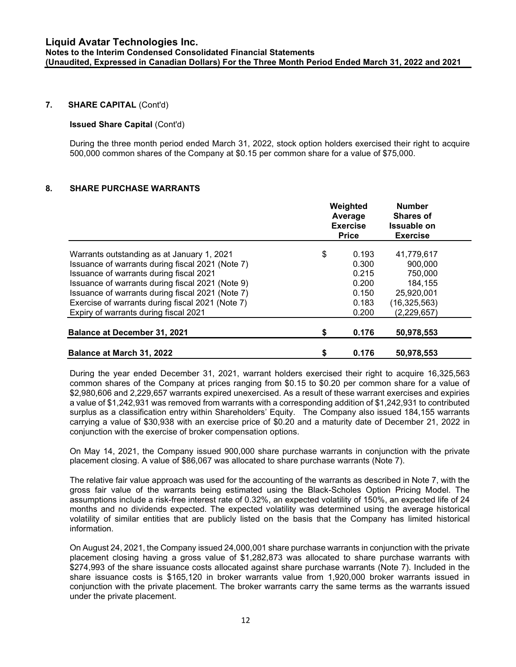## 7. SHARE CAPITAL (Cont'd)

#### Issued Share Capital (Cont'd)

During the three month period ended March 31, 2022, stock option holders exercised their right to acquire 500,000 common shares of the Company at \$0.15 per common share for a value of \$75,000.

## 8. SHARE PURCHASE WARRANTS

|                                                  | Weighted<br>Average<br><b>Exercise</b><br><b>Price</b> |                |  |
|--------------------------------------------------|--------------------------------------------------------|----------------|--|
| Warrants outstanding as at January 1, 2021       | \$<br>0.193                                            | 41,779,617     |  |
| Issuance of warrants during fiscal 2021 (Note 7) | 0.300                                                  | 900,000        |  |
| Issuance of warrants during fiscal 2021          | 0.215                                                  | 750,000        |  |
| Issuance of warrants during fiscal 2021 (Note 9) | 0.200                                                  | 184,155        |  |
| Issuance of warrants during fiscal 2021 (Note 7) | 0.150                                                  | 25.920.001     |  |
| Exercise of warrants during fiscal 2021 (Note 7) | 0.183                                                  | (16, 325, 563) |  |
| Expiry of warrants during fiscal 2021            | 0.200                                                  | (2,229,657)    |  |
| <b>Balance at December 31, 2021</b>              | \$<br>0.176                                            | 50,978,553     |  |
| <b>Balance at March 31, 2022</b>                 | \$<br>0.176                                            | 50,978,553     |  |

During the year ended December 31, 2021, warrant holders exercised their right to acquire 16,325,563 common shares of the Company at prices ranging from \$0.15 to \$0.20 per common share for a value of \$2,980,606 and 2,229,657 warrants expired unexercised. As a result of these warrant exercises and expiries a value of \$1,242,931 was removed from warrants with a corresponding addition of \$1,242,931 to contributed surplus as a classification entry within Shareholders' Equity. The Company also issued 184,155 warrants carrying a value of \$30,938 with an exercise price of \$0.20 and a maturity date of December 21, 2022 in conjunction with the exercise of broker compensation options.

On May 14, 2021, the Company issued 900,000 share purchase warrants in conjunction with the private placement closing. A value of \$86,067 was allocated to share purchase warrants (Note 7).

The relative fair value approach was used for the accounting of the warrants as described in Note 7, with the gross fair value of the warrants being estimated using the Black-Scholes Option Pricing Model. The assumptions include a risk-free interest rate of 0.32%, an expected volatility of 150%, an expected life of 24 months and no dividends expected. The expected volatility was determined using the average historical volatility of similar entities that are publicly listed on the basis that the Company has limited historical information.

On August 24, 2021, the Company issued 24,000,001 share purchase warrants in conjunction with the private placement closing having a gross value of \$1,282,873 was allocated to share purchase warrants with \$274,993 of the share issuance costs allocated against share purchase warrants (Note 7). Included in the share issuance costs is \$165,120 in broker warrants value from 1,920,000 broker warrants issued in conjunction with the private placement. The broker warrants carry the same terms as the warrants issued under the private placement.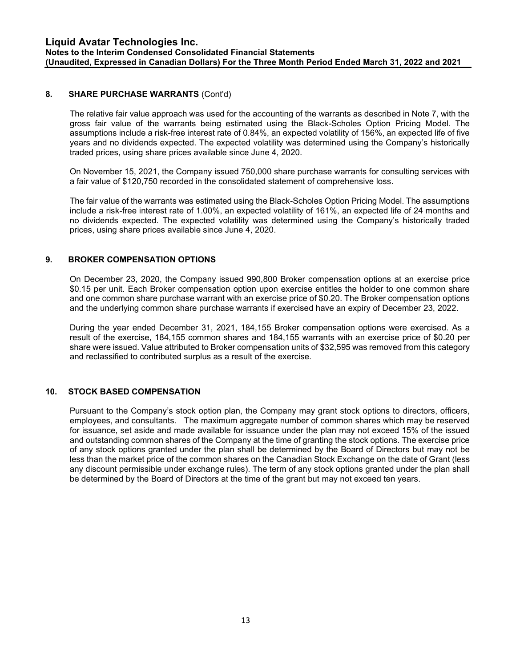## 8. SHARE PURCHASE WARRANTS (Cont'd)

The relative fair value approach was used for the accounting of the warrants as described in Note 7, with the gross fair value of the warrants being estimated using the Black-Scholes Option Pricing Model. The assumptions include a risk-free interest rate of 0.84%, an expected volatility of 156%, an expected life of five years and no dividends expected. The expected volatility was determined using the Company's historically traded prices, using share prices available since June 4, 2020.

On November 15, 2021, the Company issued 750,000 share purchase warrants for consulting services with a fair value of \$120,750 recorded in the consolidated statement of comprehensive loss.

The fair value of the warrants was estimated using the Black-Scholes Option Pricing Model. The assumptions include a risk-free interest rate of 1.00%, an expected volatility of 161%, an expected life of 24 months and no dividends expected. The expected volatility was determined using the Company's historically traded prices, using share prices available since June 4, 2020.

## 9. BROKER COMPENSATION OPTIONS

On December 23, 2020, the Company issued 990,800 Broker compensation options at an exercise price \$0.15 per unit. Each Broker compensation option upon exercise entitles the holder to one common share and one common share purchase warrant with an exercise price of \$0.20. The Broker compensation options and the underlying common share purchase warrants if exercised have an expiry of December 23, 2022.

During the year ended December 31, 2021, 184,155 Broker compensation options were exercised. As a result of the exercise, 184,155 common shares and 184,155 warrants with an exercise price of \$0.20 per share were issued. Value attributed to Broker compensation units of \$32,595 was removed from this category and reclassified to contributed surplus as a result of the exercise.

## 10. STOCK BASED COMPENSATION

Pursuant to the Company's stock option plan, the Company may grant stock options to directors, officers, employees, and consultants. The maximum aggregate number of common shares which may be reserved for issuance, set aside and made available for issuance under the plan may not exceed 15% of the issued and outstanding common shares of the Company at the time of granting the stock options. The exercise price of any stock options granted under the plan shall be determined by the Board of Directors but may not be less than the market price of the common shares on the Canadian Stock Exchange on the date of Grant (less any discount permissible under exchange rules). The term of any stock options granted under the plan shall be determined by the Board of Directors at the time of the grant but may not exceed ten years.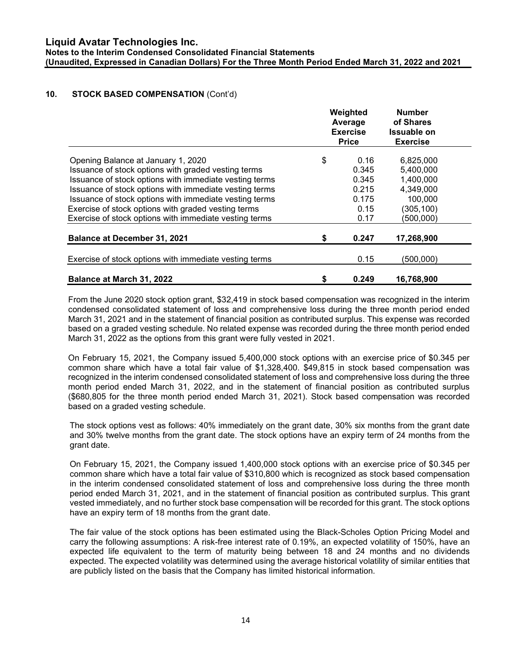## 10. STOCK BASED COMPENSATION (Cont'd)

|                                                        |    | Weighted<br>Average<br><b>Exercise</b><br><b>Price</b> | <b>Number</b><br>of Shares<br>Issuable on<br><b>Exercise</b> |
|--------------------------------------------------------|----|--------------------------------------------------------|--------------------------------------------------------------|
| Opening Balance at January 1, 2020                     | \$ | 0.16                                                   | 6,825,000                                                    |
| Issuance of stock options with graded vesting terms    |    | 0.345                                                  | 5,400,000                                                    |
| Issuance of stock options with immediate vesting terms |    | 0.345                                                  | 1,400,000                                                    |
| Issuance of stock options with immediate vesting terms |    | 0.215                                                  | 4,349,000                                                    |
| Issuance of stock options with immediate vesting terms |    | 0.175                                                  | 100,000                                                      |
| Exercise of stock options with graded vesting terms    |    | 0.15                                                   | (305, 100)                                                   |
| Exercise of stock options with immediate vesting terms |    | 0.17                                                   | (500,000)                                                    |
| <b>Balance at December 31, 2021</b>                    | S  | 0.247                                                  | 17,268,900                                                   |
| Exercise of stock options with immediate vesting terms |    | 0.15                                                   | (500,000)                                                    |
| <b>Balance at March 31, 2022</b>                       | S  | 0.249                                                  | 16,768,900                                                   |

From the June 2020 stock option grant, \$32,419 in stock based compensation was recognized in the interim condensed consolidated statement of loss and comprehensive loss during the three month period ended March 31, 2021 and in the statement of financial position as contributed surplus. This expense was recorded based on a graded vesting schedule. No related expense was recorded during the three month period ended March 31, 2022 as the options from this grant were fully vested in 2021.

On February 15, 2021, the Company issued 5,400,000 stock options with an exercise price of \$0.345 per common share which have a total fair value of \$1,328,400. \$49,815 in stock based compensation was recognized in the interim condensed consolidated statement of loss and comprehensive loss during the three month period ended March 31, 2022, and in the statement of financial position as contributed surplus (\$680,805 for the three month period ended March 31, 2021). Stock based compensation was recorded based on a graded vesting schedule.

The stock options vest as follows: 40% immediately on the grant date, 30% six months from the grant date and 30% twelve months from the grant date. The stock options have an expiry term of 24 months from the grant date.

On February 15, 2021, the Company issued 1,400,000 stock options with an exercise price of \$0.345 per common share which have a total fair value of \$310,800 which is recognized as stock based compensation in the interim condensed consolidated statement of loss and comprehensive loss during the three month period ended March 31, 2021, and in the statement of financial position as contributed surplus. This grant vested immediately, and no further stock base compensation will be recorded for this grant. The stock options have an expiry term of 18 months from the grant date.

The fair value of the stock options has been estimated using the Black-Scholes Option Pricing Model and carry the following assumptions: A risk-free interest rate of 0.19%, an expected volatility of 150%, have an expected life equivalent to the term of maturity being between 18 and 24 months and no dividends expected. The expected volatility was determined using the average historical volatility of similar entities that are publicly listed on the basis that the Company has limited historical information.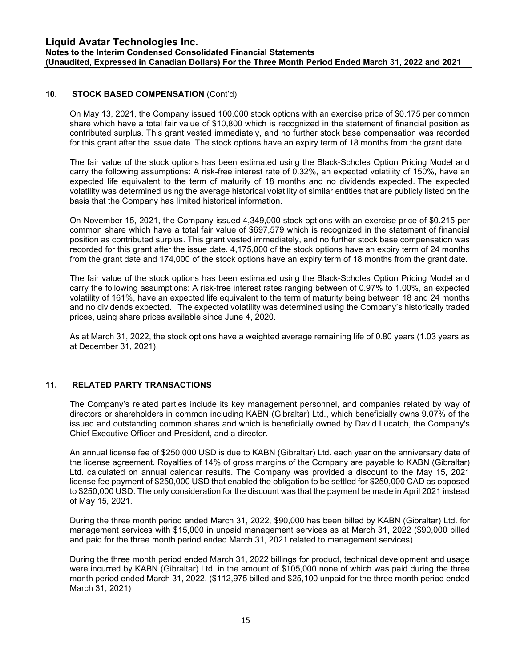## 10. STOCK BASED COMPENSATION (Cont'd)

On May 13, 2021, the Company issued 100,000 stock options with an exercise price of \$0.175 per common share which have a total fair value of \$10,800 which is recognized in the statement of financial position as contributed surplus. This grant vested immediately, and no further stock base compensation was recorded for this grant after the issue date. The stock options have an expiry term of 18 months from the grant date.

The fair value of the stock options has been estimated using the Black-Scholes Option Pricing Model and carry the following assumptions: A risk-free interest rate of 0.32%, an expected volatility of 150%, have an expected life equivalent to the term of maturity of 18 months and no dividends expected. The expected volatility was determined using the average historical volatility of similar entities that are publicly listed on the basis that the Company has limited historical information.

On November 15, 2021, the Company issued 4,349,000 stock options with an exercise price of \$0.215 per common share which have a total fair value of \$697,579 which is recognized in the statement of financial position as contributed surplus. This grant vested immediately, and no further stock base compensation was recorded for this grant after the issue date. 4,175,000 of the stock options have an expiry term of 24 months from the grant date and 174,000 of the stock options have an expiry term of 18 months from the grant date.

The fair value of the stock options has been estimated using the Black-Scholes Option Pricing Model and carry the following assumptions: A risk-free interest rates ranging between of 0.97% to 1.00%, an expected volatility of 161%, have an expected life equivalent to the term of maturity being between 18 and 24 months and no dividends expected. The expected volatility was determined using the Company's historically traded prices, using share prices available since June 4, 2020.

As at March 31, 2022, the stock options have a weighted average remaining life of 0.80 years (1.03 years as at December 31, 2021).

## 11. RELATED PARTY TRANSACTIONS

The Company's related parties include its key management personnel, and companies related by way of directors or shareholders in common including KABN (Gibraltar) Ltd., which beneficially owns 9.07% of the issued and outstanding common shares and which is beneficially owned by David Lucatch, the Company's Chief Executive Officer and President, and a director.

An annual license fee of \$250,000 USD is due to KABN (Gibraltar) Ltd. each year on the anniversary date of the license agreement. Royalties of 14% of gross margins of the Company are payable to KABN (Gibraltar) Ltd. calculated on annual calendar results. The Company was provided a discount to the May 15, 2021 license fee payment of \$250,000 USD that enabled the obligation to be settled for \$250,000 CAD as opposed to \$250,000 USD. The only consideration for the discount was that the payment be made in April 2021 instead of May 15, 2021.

During the three month period ended March 31, 2022, \$90,000 has been billed by KABN (Gibraltar) Ltd. for management services with \$15,000 in unpaid management services as at March 31, 2022 (\$90,000 billed and paid for the three month period ended March 31, 2021 related to management services).

During the three month period ended March 31, 2022 billings for product, technical development and usage were incurred by KABN (Gibraltar) Ltd. in the amount of \$105,000 none of which was paid during the three month period ended March 31, 2022. (\$112,975 billed and \$25,100 unpaid for the three month period ended March 31, 2021)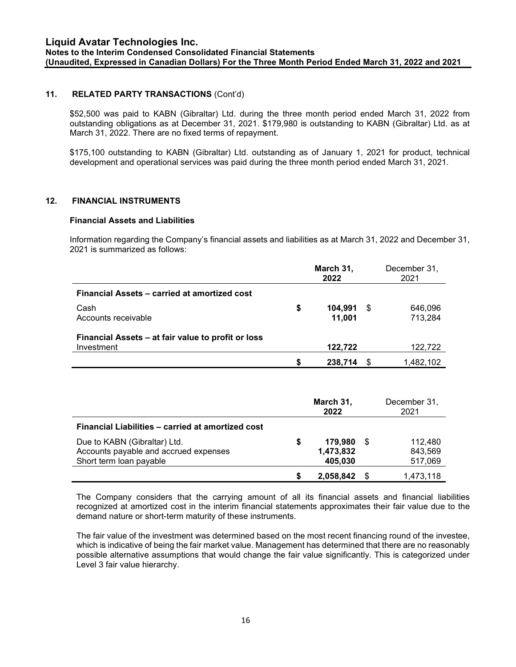## 11. RELATED PARTY TRANSACTIONS (Cont'd)

\$52,500 was paid to KABN (Gibraltar) Ltd. during the three month period ended March 31, 2022 from outstanding obligations as at December 31, 2021. \$179,980 is outstanding to KABN (Gibraltar) Ltd. as at March 31, 2022. There are no fixed terms of repayment.

\$175,100 outstanding to KABN (Gibraltar) Ltd. outstanding as of January 1, 2021 for product, technical development and operational services was paid during the three month period ended March 31, 2021.

#### 12. FINANCIAL INSTRUMENTS

#### Financial Assets and Liabilities

Information regarding the Company's financial assets and liabilities as at March 31, 2022 and December 31, 2021 is summarized as follows:

|                                                                  | March 31,<br>2022 |                   |    | December 31,<br>2021 |
|------------------------------------------------------------------|-------------------|-------------------|----|----------------------|
| Financial Assets – carried at amortized cost                     |                   |                   |    |                      |
| Cash<br>Accounts receivable                                      | S                 | 104,991<br>11,001 | S. | 646,096<br>713,284   |
| Financial Assets – at fair value to profit or loss<br>Investment |                   | 122,722           |    | 122,722              |
|                                                                  | S                 | 238,714           |    | 1,482,102            |

|                                                                                                  | March 31,<br>2022 |                                           |  | December 31,<br>2021          |
|--------------------------------------------------------------------------------------------------|-------------------|-------------------------------------------|--|-------------------------------|
| Financial Liabilities – carried at amortized cost                                                |                   |                                           |  |                               |
| Due to KABN (Gibraltar) Ltd.<br>Accounts payable and accrued expenses<br>Short term loan payable | S                 | <b>179,980 \$</b><br>1,473,832<br>405,030 |  | 112.480<br>843.569<br>517,069 |
|                                                                                                  |                   | 2,058,842                                 |  | 1,473,118                     |

The Company considers that the carrying amount of all its financial assets and financial liabilities recognized at amortized cost in the interim financial statements approximates their fair value due to the demand nature or short-term maturity of these instruments.

The fair value of the investment was determined based on the most recent financing round of the investee, which is indicative of being the fair market value. Management has determined that there are no reasonably possible alternative assumptions that would change the fair value significantly. This is categorized under Level 3 fair value hierarchy.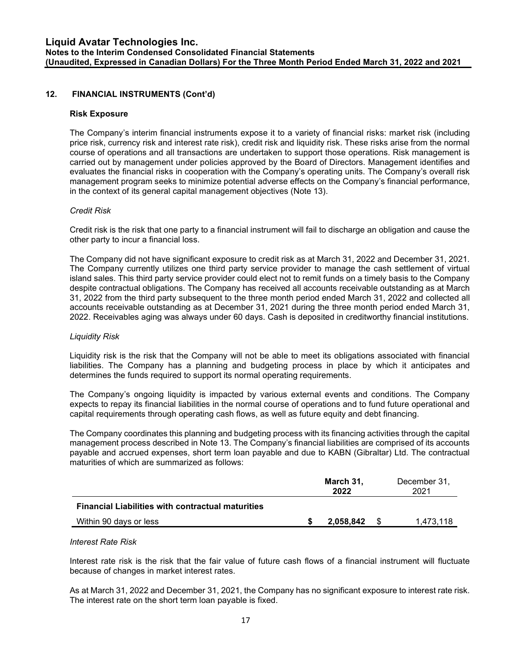## 12. FINANCIAL INSTRUMENTS (Cont'd)

#### Risk Exposure

The Company's interim financial instruments expose it to a variety of financial risks: market risk (including price risk, currency risk and interest rate risk), credit risk and liquidity risk. These risks arise from the normal course of operations and all transactions are undertaken to support those operations. Risk management is carried out by management under policies approved by the Board of Directors. Management identifies and evaluates the financial risks in cooperation with the Company's operating units. The Company's overall risk management program seeks to minimize potential adverse effects on the Company's financial performance, in the context of its general capital management objectives (Note 13).

#### Credit Risk

Credit risk is the risk that one party to a financial instrument will fail to discharge an obligation and cause the other party to incur a financial loss.

The Company did not have significant exposure to credit risk as at March 31, 2022 and December 31, 2021. The Company currently utilizes one third party service provider to manage the cash settlement of virtual island sales. This third party service provider could elect not to remit funds on a timely basis to the Company despite contractual obligations. The Company has received all accounts receivable outstanding as at March 31, 2022 from the third party subsequent to the three month period ended March 31, 2022 and collected all accounts receivable outstanding as at December 31, 2021 during the three month period ended March 31, 2022. Receivables aging was always under 60 days. Cash is deposited in creditworthy financial institutions.

#### Liquidity Risk

Liquidity risk is the risk that the Company will not be able to meet its obligations associated with financial liabilities. The Company has a planning and budgeting process in place by which it anticipates and determines the funds required to support its normal operating requirements.

The Company's ongoing liquidity is impacted by various external events and conditions. The Company expects to repay its financial liabilities in the normal course of operations and to fund future operational and capital requirements through operating cash flows, as well as future equity and debt financing.

The Company coordinates this planning and budgeting process with its financing activities through the capital management process described in Note 13. The Company's financial liabilities are comprised of its accounts payable and accrued expenses, short term loan payable and due to KABN (Gibraltar) Ltd. The contractual maturities of which are summarized as follows:

|                                                          | March 31,<br>2022 | December 31,<br>2021 |
|----------------------------------------------------------|-------------------|----------------------|
| <b>Financial Liabilities with contractual maturities</b> |                   |                      |
| Within 90 days or less                                   | 2.058.842         | 1.473.118            |

#### Interest Rate Risk

Interest rate risk is the risk that the fair value of future cash flows of a financial instrument will fluctuate because of changes in market interest rates.

As at March 31, 2022 and December 31, 2021, the Company has no significant exposure to interest rate risk. The interest rate on the short term loan payable is fixed.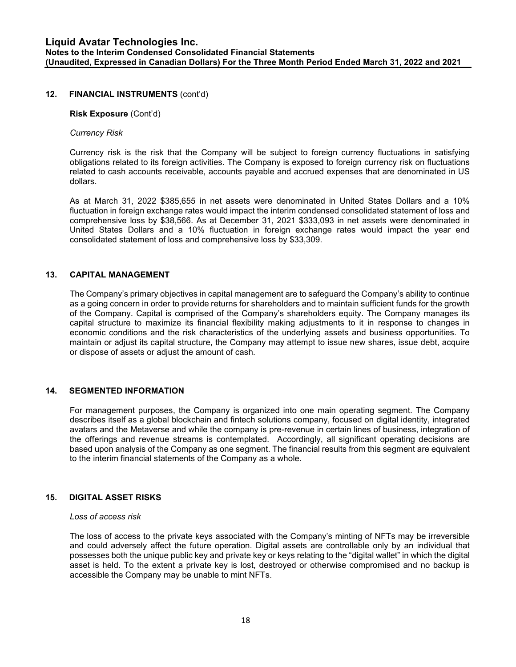#### 12. FINANCIAL INSTRUMENTS (cont'd)

#### Risk Exposure (Cont'd)

#### Currency Risk

Currency risk is the risk that the Company will be subject to foreign currency fluctuations in satisfying obligations related to its foreign activities. The Company is exposed to foreign currency risk on fluctuations related to cash accounts receivable, accounts payable and accrued expenses that are denominated in US dollars.

As at March 31, 2022 \$385,655 in net assets were denominated in United States Dollars and a 10% fluctuation in foreign exchange rates would impact the interim condensed consolidated statement of loss and comprehensive loss by \$38,566. As at December 31, 2021 \$333,093 in net assets were denominated in United States Dollars and a 10% fluctuation in foreign exchange rates would impact the year end consolidated statement of loss and comprehensive loss by \$33,309.

#### 13. CAPITAL MANAGEMENT

The Company's primary objectives in capital management are to safeguard the Company's ability to continue as a going concern in order to provide returns for shareholders and to maintain sufficient funds for the growth of the Company. Capital is comprised of the Company's shareholders equity. The Company manages its capital structure to maximize its financial flexibility making adjustments to it in response to changes in economic conditions and the risk characteristics of the underlying assets and business opportunities. To maintain or adjust its capital structure, the Company may attempt to issue new shares, issue debt, acquire or dispose of assets or adjust the amount of cash.

#### 14. SEGMENTED INFORMATION

For management purposes, the Company is organized into one main operating segment. The Company describes itself as a global blockchain and fintech solutions company, focused on digital identity, integrated avatars and the Metaverse and while the company is pre-revenue in certain lines of business, integration of the offerings and revenue streams is contemplated. Accordingly, all significant operating decisions are based upon analysis of the Company as one segment. The financial results from this segment are equivalent to the interim financial statements of the Company as a whole.

#### 15. DIGITAL ASSET RISKS

#### Loss of access risk

The loss of access to the private keys associated with the Company's minting of NFTs may be irreversible and could adversely affect the future operation. Digital assets are controllable only by an individual that possesses both the unique public key and private key or keys relating to the "digital wallet" in which the digital asset is held. To the extent a private key is lost, destroyed or otherwise compromised and no backup is accessible the Company may be unable to mint NFTs.